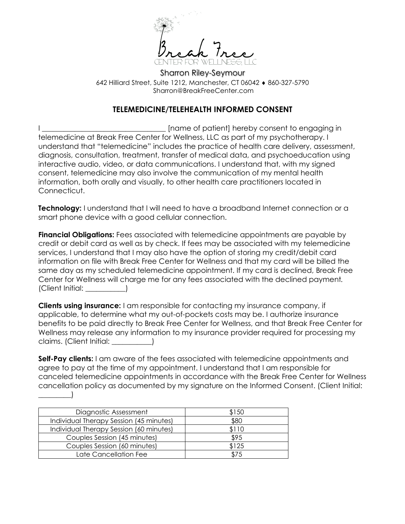

Sharron Riley-Seymour 642 Hilliard Street, Suite 1212, Manchester, CT 06042  $\bullet$  860-327-5790 Sharron@BreakFreeCenter.com

# **TELEMEDICINE/TELEHEALTH INFORMED CONSENT**

I consent to engaging in the local state of patient] hereby consent to engaging in telemedicine at Break Free Center for Wellness, LLC as part of my psychotherapy. I understand that "telemedicine" includes the practice of health care delivery, assessment, diagnosis, consultation, treatment, transfer of medical data, and psychoeducation using interactive audio, video, or data communications. I understand that, with my signed consent, telemedicine may also involve the communication of my mental health information, both orally and visually, to other health care practitioners located in Connecticut.

**Technology:** I understand that I will need to have a broadband Internet connection or a smart phone device with a good cellular connection.

**Financial Obligations:** Fees associated with telemedicine appointments are payable by credit or debit card as well as by check. If fees may be associated with my telemedicine services, I understand that I may also have the option of storing my credit/debit card information on file with Break Free Center for Wellness and that my card will be billed the same day as my scheduled telemedicine appointment. If my card is declined, Break Free Center for Wellness will charge me for any fees associated with the declined payment*.*  (Client Initial: \_\_\_\_\_\_\_\_\_\_\_)

**Clients using insurance:** I am responsible for contacting my insurance company, if applicable, to determine what my out-of-pockets costs may be. I authorize insurance benefits to be paid directly to Break Free Center for Wellness, and that Break Free Center for Wellness may release any information to my insurance provider required for processing my claims. (Client Initial: \_\_\_\_\_\_\_\_\_\_\_)

**Self-Pay clients:** I am aware of the fees associated with telemedicine appointments and agree to pay at the time of my appointment. I understand that I am responsible for canceled telemedicine appointments in accordance with the Break Free Center for Wellness cancellation policy as documented by my signature on the Informed Consent. (Client Initial:  $\qquad \qquad$ 

| Diagnostic Assessment                   | \$150 |
|-----------------------------------------|-------|
| Individual Therapy Session (45 minutes) | \$80  |
| Individual Therapy Session (60 minutes) | \$110 |
| Couples Session (45 minutes)            | \$95  |
| Couples Session (60 minutes)            | \$125 |
| Late Cancellation Fee                   | \$75  |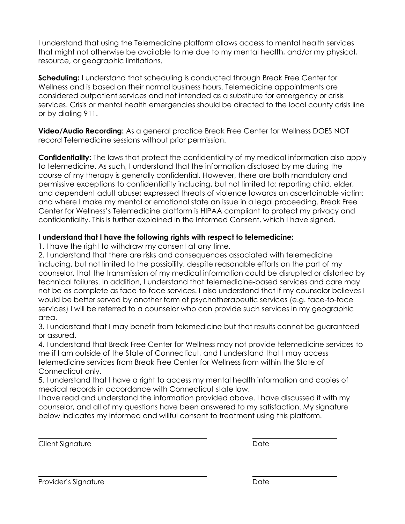I understand that using the Telemedicine platform allows access to mental health services that might not otherwise be available to me due to my mental health, and/or my physical, resource, or geographic limitations.

**Scheduling:** I understand that scheduling is conducted through Break Free Center for Wellness and is based on their normal business hours. Telemedicine appointments are considered outpatient services and not intended as a substitute for emergency or crisis services. Crisis or mental health emergencies should be directed to the local county crisis line or by dialing 911.

**Video/Audio Recording:** As a general practice Break Free Center for Wellness DOES NOT record Telemedicine sessions without prior permission.

**Confidentiality:** The laws that protect the confidentiality of my medical information also apply to telemedicine. As such, I understand that the information disclosed by me during the course of my therapy is generally confidential. However, there are both mandatory and permissive exceptions to confidentiality including, but not limited to: reporting child, elder, and dependent adult abuse; expressed threats of violence towards an ascertainable victim; and where I make my mental or emotional state an issue in a legal proceeding. Break Free Center for Wellness's Telemedicine platform is HIPAA compliant to protect my privacy and confidentiality. This is further explained in the Informed Consent, which I have signed.

## **I understand that I have the following rights with respect to telemedicine:**

1. I have the right to withdraw my consent at any time.

2. I understand that there are risks and consequences associated with telemedicine including, but not limited to the possibility, despite reasonable efforts on the part of my counselor, that the transmission of my medical information could be disrupted or distorted by technical failures. In addition, I understand that telemedicine-based services and care may not be as complete as face-to-face services. I also understand that if my counselor believes I would be better served by another form of psychotherapeutic services (e.g. face-to-face services) I will be referred to a counselor who can provide such services in my geographic area.

3. I understand that I may benefit from telemedicine but that results cannot be guaranteed or assured.

4. I understand that Break Free Center for Wellness may not provide telemedicine services to me if I am outside of the State of Connecticut, and I understand that I may access telemedicine services from Break Free Center for Wellness from within the State of Connecticut only.

5. I understand that I have a right to access my mental health information and copies of medical records in accordance with Connecticut state law.

I have read and understand the information provided above. I have discussed it with my counselor, and all of my questions have been answered to my satisfaction. My signature below indicates my informed and willful consent to treatment using this platform.

Client Signature Date Date Date